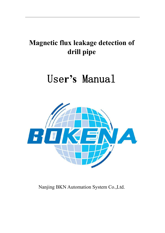## **Magnetic flux leakage detection of drill pipe**

# Use**r's** Manual



Nanjing BKN Automation System Co.,Ltd.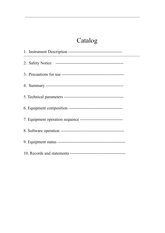### Catalog

| 7. Equipment operation sequence ------------------------------- |
|-----------------------------------------------------------------|
|                                                                 |
|                                                                 |
|                                                                 |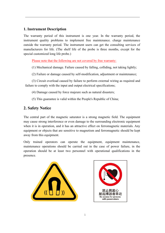#### **1. Instrument Description**

The warranty period of this instrument is one year. In the warranty period, the instrument quality problems to implement free maintenance. charge maintenance outside the warranty period. The instrument users can get the consulting services of manufacturers for life. (The shelf life of the probe is three months, except for the special customized long life probe.)

Please note that the following are not covered by free warranty:

(1) Mechanical damage. Failure caused by falling, colliding, not taking lightly;

(2) Failure or damage caused by self-modification, adjustment or maintenance;

(3) Circuit overload caused by failure to perform external wiring as required and failure to comply with the input and output electrical specifications;

(4) Damage caused by force majeure such as natural disasters;

(5) This guarantee is valid within the People's Republic of China;

### **2. Safety Notice**

The central part of the magnetic saturator is a strong magnetic field. The equipment may cause strong interference or even damage to the surrounding electronic equipment when it is in operation, and it has an attractive effect on ferromagnetic materials. Any equipment or objects that are sensitive to magnetism and ferromagnetic should be kept away from this equipment.

Only trained operators can operate the equipment, equipment maintenance, maintenance operations should be carried out in the case of power failure, in the operation should be at least two personnel with operational qualifications in the presence.



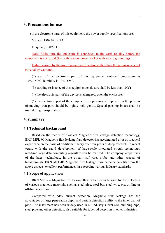#### **3. Precautions for use**

 $(1)$  the electronic parts of this equipment, the power supply specifications are:

Voltage :180~240 V/AC

Frequency :50/60 Hz

Note: Make sure the enclosure is connected to the earth reliably before the equipment is energized.(Use a three-core power socket with secure grounding)

Failure caused by the use of power specifications other than the provisions is not covered by warranty.

(2) use of the electronic part of this equipment ambient temperature is  $-10^{\circ}$ C $\sim$ 50°C, humidity is 10% $\sim$ 85%.

(3) earthing resistance of this equipment enclosure shall be less than  $100\Omega$ .

(4) the electronic part of the device is energized, open the enclosure.

(5) the electronic part of the equipment is a precision equipment, in the process of moving, transport should be lightly held gently. Special packing boxes shall be used during transportation.

#### **4. summary**

#### **4.1 Technical background**

Based on the theory of classical Magnetic flux leakage detection technology, BKN MFL-06 Magnetic flux leakage flaw detector has accumulated a lot of practical experience on the basis of traditional theory after ten years of deep research. In recent years, with the rapid development of large-scale integrated circuit technology, real-time large data computing algorithm can be realized. The company keeps track of the latest technology, in the circuit, software, probe and other aspects of breakthrough. BKN MFL-06 Magnetic flux leakage flaw detector benefits from the above aspects, excellent performance, far exceeding various industry standards.

#### **4.2 Scope of application**

BKN MFL-06 Magnetic flux leakage flaw detector can be used for the detection of various magnetic materials, such as steel pipe, steel bar, steel wire, etc. on-line or off-line inspection.

Compared with eddy current detection, Magnetic flux leakage has the advantages of large penetration depth and certain detection ability to the inner wall of pipe. The instrument has been widely used in oil industry sucker rod, pumping pipe, steel pipe and other detection. also suitable for tube rod detection in other industries.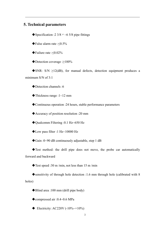#### **5. Technical parameters**

◆ Specification :2  $3/8$   $\nu$  ~6  $5/8$  pipe fittings

False alarm rate :≤0.5%

Failure rate :≤0.02%

Detection coverage :≥100%

 $\blacklozenge$  SNR: S/N  $\geq$ 12(dB), for manual defects, detection equipment produces a minimum S/N of 3:1

◆Detection channels :6

 $\blacklozenge$  Thickness range :1~12 mm

Continuous operation :24 hours, stable performance parameters

Accuracy of position resolution :20 mm

◆ Oualcomm Filtering :0.1 Hz~650 Hz

Low pass filter :1 Hz~10000 Hz

Gain :0~90 dB continuously adjustable, step 1 dB

Test method: the drill pipe does not move, the probe car automatically forward and backward

◆ Test speed :30 m /min, not less than 15 m /min

 $\bullet$  sensitivity of through hole detection :1.6 mm through hole (calibrated with 8 holes)

◆Blind area :100 mm (drill pipe body)

◆ compressed air :0.4~0.6 MPa

 $\triangle$  Electricity: AC220V (-10%~+10%)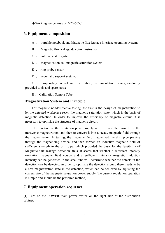Working temperature :-10℃~50℃

#### **6. Equipment composition**

- A 、 portable notebook and Magnetic flux leakage interface operating system;
- B 、 Magnetic flux leakage detection instrument;
- C 、 automatic skid system
- D magnetization coil magnetic saturation system;
- E 、 ring probe sensor;
- F v pneumatic support system;

G 、 supporting control and distribution, instrumentation, power, randomly provided tools and spare parts;

H、 Calibration Sample Tube

#### **Magnetization System and Principle**

For magnetic nondestructive testing, the first is the design of magnetization to let the detected workpiece reach the magnetic saturation state, which is the basis of magnetic detection. In order to improve the efficiency of magnetic circuit, it is necessary to optimize the structure of magnetic circuit.

The function of the excitation power supply is to provide the current for the transverse magnetization, and then to convert it into a steady magnetic field through the magnetization. In testing, the magnetic field magnetized the drill pipe passing through the magnetizing device, and then formed an inductive magnetic field of sufficient strength in the drill pipe, which provided the basis for the feasibility of Magnetic flux leakage detection. thus, it seems that whether a sufficient intensity excitation magnetic field source and a sufficient intensity magnetic induction intensity can be generated in the steel tube will determine whether the defects in the detection can be detected; in order to optimize the detection signal, there needs to be a best magnetization state in the detection, which can be achieved by adjusting the current size of the magnetic saturation power supply (the current regulation operation is simple and should be the preferred method).

#### **7. Equipment operation sequence**

(1) Turn on the POWER main power switch on the right side of the distribution cabinet.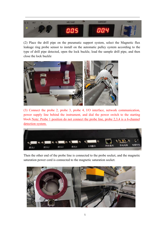

(2) Place the drill pipe on the pneumatic support system, select the Magnetic flux leakage ring probe sensor to install on the automatic pulley system according to the type of drill pipe detected, open the lock buckle, load the sample drill pipe, and then close the lock buckle



(3) Connect the probe 2, probe 3, probe 4, I/O interface, network communication, power supply line behind the instrument, and dial the power switch to the starting block.Note: Probe 1 position do not connect the probe line, probe 2,3,4 is a 6-channel detection system.



Then the other end of the probe line is connected to the probe socket, and the magnetic saturation power cord is connected to the magnetic saturation socket.

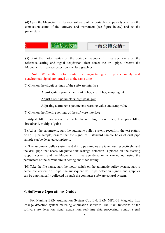(4) Open the Magnetic flux leakage software of the portable computer type, check the connection status of the software and instrument (see figure below) and set the parameters.



(5) Start the motor switch on the portable magnetic flux leakage, carry on the reference setting and signal acquisition, then detect the drill pipe, observe the Magnetic flux leakage detection interface graphics.

Note: When the motor starts, the magnetizing coil power supply and synchronous signal are turned on at the same time

 $(6)$  Click on the circuit settings of the software interface

Adjust system parameters: start delay, stop delay, sampling rate.

Adjust circuit parameters: high pass, gain

Adjusting alarm zone parameters: warning value and scrap value

 $(7)$  Click on the filtering settings of the software interface

Adjust filter parameters for each channel: high pass filter, low pass filter, broadband, multiple (gain)

(8) Adjust the parameters, start the automatic pulley system, reconfirm the test pattern of drill pipe sample, ensure that the signal of 8 standard sample holes of drill pipe sample can be detected completely.

(9) The automatic pulley system and drill pipe samples are taken out respectively, and the drill pipe that needs Magnetic flux leakage detection is placed on the starting support system, and the Magnetic flux leakage detection is carried out using the parameters of the current circuit setting and filter setting.

(10) Take the file name, start the motor switch on the automatic pulley system, start to detect the current drill pipe, the subsequent drill pipe detection signals and graphics can be automatically collected through the computer software control system.

#### **8. Software Operations Guide**

For Nanjing BKN Automation System Co., Ltd. BKN MFL-06 Magnetic flux leakage detection system matching application software. The main functions of the software are detection signal acquisition, real-time data processing, control signal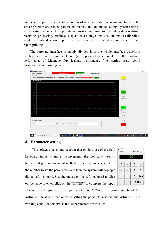output and input, real-time transmission of detected data; the main functions of the server program are related parameters manual and automatic setting, system settings, speed testing, channel testing, data acquisition and analysis, including data real-time receiving, processing, graphical display, data storage, analysis, automatic calibration, single drill tube detection report, the total report of this test, detection waveform and report printing.

The software interface is mainly divided into: the whole interface waveform display area, circuit equipment area (most parameters are related to the hardware performance of Magnetic flux leakage instrument), filter setting area, record preservation and printing area.



#### **8.1 Parameter setting**

This software takes into account that outdoor use of the field keyboard input is more inconvenient, the company uses a humanized pure mouse input method. To set parameters, click on the number to set the parameters, and then the system will pop up a digital soft keyboard. Use the mouse on the soft keyboard to click on the value to enter, click on the "ENTER" to complete the input,

| 最小值:1          |                | 最大值:99           |              |
|----------------|----------------|------------------|--------------|
|                |                |                  |              |
| $\overline{7}$ | 8              | $\boldsymbol{9}$ |              |
| 4              | 5              | 6                | c            |
|                | $\overline{2}$ | 3                | <b>ESC</b>   |
|                | 0              |                  | <b>ENTER</b> |

if you want to give up the input, click ESC "."Note: the power supply of the instrument must be turned on when setting the parameters, so that the instrument is in working condition, otherwise the set parameters are invalid!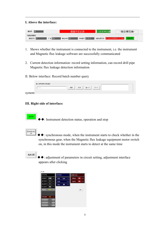#### **I. Above the interface:**



- 1. Shows whether the instrument is connected to the instrument, i.e. the instrument and Magnetic flux leakage software are successfully communicated
- 2. Current detection information: record setting information, can record drill pipe Magnetic flux leakage detection information
- II. Below interface: Record batch number query



system

#### **III. Right side of interface:**

◆◆: Instrument detection status, operation and stop



运行中

◆◆: synchronous mode, when the instrument starts to check whether in the synchronous gear, when the Magnetic flux leakage equipment motor switch on, in this mode the instrument starts to detect at the same time

电路设置

◆◆: adjustment of parameters in circuit setting, adjustment interface appears after clicking

| 系统参数           |      |                   | 电路参数  |     | 报警区参数 |      |    |        |
|----------------|------|-------------------|-------|-----|-------|------|----|--------|
| 启动延时- 100      |      | (mn)              | 高通一   | 3.0 | (Hz)  | 预警值… | 99 | (Unit) |
| 停止延时 --        | п    | (mn)              | 低通…   |     | (He)  | 报废值一 | 99 | (Unit) |
| 停止延时2-         | п    | (m <sub>3</sub> ) | 墙益 -- | 55  | (dB)  |      |    |        |
| 标记延时--         | 50   | (mn)              |       |     |       |      |    |        |
| 采样率            | 4000 | (SPS)             |       |     |       |      | 高井 |        |
|                |      |                   |       |     |       |      |    |        |
| 探头驱动           | 100  | (96)              |       |     |       |      |    |        |
| 板级门门口          | 200  | $( \vec{v} )$     |       |     |       |      |    |        |
|                | 1200 | <b>IHH</b>        |       |     |       |      |    |        |
| <b>MWFirLp</b> |      |                   |       |     |       |      |    |        |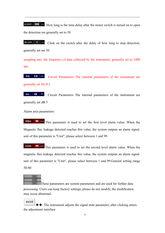<del>启动延时 -</del> **100** (ms). How long is the time delay after the motor switch is turned on to open the detection ms generally set to 50

 $\frac{1}{2}$   $\frac{1}{2}$   $\frac{1}{2}$   $\frac{1}{2}$   $\frac{1}{2}$   $\frac{1}{2}$  Click on the switch after the delay of how long to stop detection, generally set ms 50

sampling rate: the frequency of data collected by the instrument, generally set to 1000 sps..

高通-- 3.0 (Hz) : Circuit Parameters The internal parameters of the instrument are generally set Hz.0.2

增益--55  $(dB)$ : Circuit Parameters The internal parameters of the instrument are generally set dB 5

Alarm area parameters:

**99** (Unit) This parameter is used to set the first level alarm value. When the 预警值… Magnetic flux leakage detected reaches this value, the system outputs an alarm signal.<br>unit of this parameter is "Unit", please select between 1 and 99.

报废值-- **99** (Unit) This parameter is used to set the second level alarm value. When the magnetic flux leakage detected reaches this value, the system outputs an alarm signal. unit of this parameter is "Unit", please select between 1 and 99.General setting range 50-80

These parameters are system parameters and are used for further data processing. Users can keep factory settings, please do not modify, the modification may occur abnormal.

滤波设置  $\bullet$ : The instrument adjusts the signal state parameter, after clicking enters the adjustment interface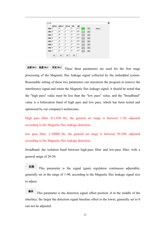|       | 高通(Hz) | 低通(Hx) | 需意(Hz)         | 倍数 | 偏移   |               |              |                           |
|-------|--------|--------|----------------|----|------|---------------|--------------|---------------------------|
| 通道1 4 |        | 40     | 5              | 55 | 4000 | ÷             | $\circ$      | <b>STATISTICS</b><br>复制参数 |
| 通道2 4 |        | 40     | 5              | 55 | 4000 | $\rightarrow$ | $\circ$      |                           |
| 通道3 4 |        | 40     | l6             | 55 | 4000 | $\rightarrow$ | $\circ$      |                           |
| 通道4 4 |        | 40     | 5              | 55 | 4000 | $\rightarrow$ | $\mathbf{o}$ |                           |
| 通道5 4 |        | 40     | $\overline{5}$ | 55 | 4000 | 5             | $\circ$      |                           |
| 通道6 4 |        | 40     | 5              | 55 | 4000 | $\rightarrow$ | $\circ$      |                           |
| 通道7 4 |        | 40     | 5              | 55 | 4000 | $\rightarrow$ | $\circ$      |                           |
| 通道8 4 |        | 40     | 5              | 55 | 4000 | $\rightarrow$ | $\circ$      |                           |

高通(Hz) 低通(Hz) 带宽(Hz) These three parameters are used for the first stage processing of the Magnetic flux leakage signal collected by the embedded system. Reasonable setting of these two parameters can maximize the program to remove the interference signal and retain the Magnetic flux leakage signal. it should be noted that the "high pass" value must be less than the "low pass" value, and the "broadband" value is a bifurcation band of high pass and low pass, which has been tested and optimized by our company's technicians.

High pass filter :0.1-650 Hz, the general set range is between 1-30, adjusted according to the Magnetic flux leakage detection.

low pass filter :1-10000 Hz, the general set range is between 50-200, adjusted according to the Magnetic flux leakage detection.

broadband: the isolation band between high-pass filter and low-pass filter, with a general range of 20-50.

倍数 This parameter is the signal (gain) regulation continuous adjustable, generally set in the range of 1-90, according to the Magnetic flux leakage signal size

to adjust.<br>**偏移**<br>This parameter is the detection signal offset position ,0 in the middle of the interface, the larger the detection signal baseline offset to the lower, generally set to 0 can not be adjusted.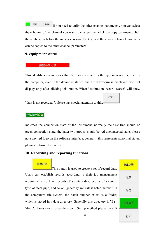$\boxed{\circ}$ 買制参数 If you need to unify the other channel parameters, you can select the o button of the channel you want to change, then click the copy parameter, click the application below the interface -- save the key, and the current channel parameter can be copied to the other channel parameters.

#### **9. equipment status**

#### 数据不在记录

This identification indicates that the data collected by the system is not recorded in the computer, even if the device is started and the waveform is displayed. will not display only after clicking this button. When "calibration, record search" will show

记录

"data is not recorded ", please pay special attention to this.-

#### 已连接到仪器

indicates the connection state of the instrument, normally the first two should be green connection state, the latter two groups should be red unconnected state. please note any red logo on the software interface, generally this represents abnormal status, please confirm it before use.

#### **10. Recording and reporting functions**

新建记录 This button is used to create a set of record data. Users can establish records according to their job management requirements, such as: records of a certain day, records of a certain type of steel pipe, and so on, generally we call it batch number. In the computer's file system, the batch number exists as a folder, which is stored in a data directory. Generally this directory is "E: \data\".. Users can also set their own. Set up method please consult

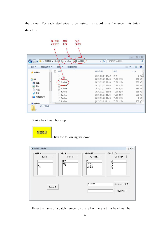the trainer. For each steel pipe to be tested, its record is a file under this batch directory.

|                 | 目录<br>文件夹                           |                      |             | $\Sigma$<br>$\Box$           |
|-----------------|-------------------------------------|----------------------|-------------|------------------------------|
| ٠               | 计算机 ▶ 新加性 ((c) ▶ data )<br>PIHAO008 | $-4$                 | 旋案 PIHAO008 | ٩                            |
| 组织 -<br>包含到库中 ▼ | 新建文件夹<br>共真                         |                      |             | $\Omega$<br><b>图 ▼</b><br>E1 |
| ☆ 収蔵夹           | 名称                                  | 修改日期                 | 类型          | 大小                           |
|                 | 1.11                                | 2015/12/14 14:10     | 文件          | 0 KEL                        |
| 国库              | $1$ $h$                             | 2015/11/27 11:33     | TUBE 文件     | 586 KE                       |
| 日视频             | E<br>2.tube                         | 2015/11/27 11:33     | TUBE 文件     | 586 KE                       |
| □图片             | <del>3.tube</del>                   | 2015/11/27 11:33     | TUBE 文件     | 586 KE                       |
| ·文档             | 4.tube                              | 2015/11/27 11:33     | TUBE 文件     | 586 KE                       |
|                 | 5.tube                              | 2015/11/27 11:32     | TUBE 文件     | 586 KE                       |
| ♪ 育乐            | 6.tube                              | 2015/11/27 11:34     | TUBE 文件     | 586 KE                       |
| 1 优酷影视库         | 7.tube                              | 2015/11/28 11:23     | TUBE 文件     | 0 KE                         |
|                 | $R$ tuha<br>$\epsilon$              | 2015/12/214-10<br>m. | THRF 立任     | 257 KF<br>٠                  |
| 图 计算机<br>49个对象  |                                     |                      |             |                              |

Start a batch number step:

新建记录 Click the following window:

| 选择材料<br>添加材料          | 选择厂名<br>添加厂名 | 选择材料批号<br>添加材料批号                    | 选择操作员<br>添加操作员                   |
|-----------------------|--------------|-------------------------------------|----------------------------------|
| 73<br>73<br>89<br>110 | 南京<br>釀      | 73<br>12.12.1<br>12.12.2<br>12.12.3 | 1#<br>1#<br>$24$<br>$34$<br>$44$ |
|                       |              | <b>PIHA0008</b>                     | 自动生成一个批号                         |
| Command5              |              |                                     | 开始这个批号                           |

Enter the name of a batch number on the left of the Start this batch number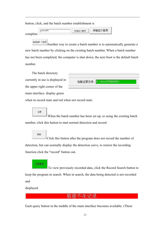button, click, and the batch number establishment is

pihao001 开始这个批号 开始这个批号 complete.

自动生成一个批号 Another way to create a batch number is to automatically generate a new batch number by clicking on the existing batch number. When a batch number has not been completed, the computer is shut down, the next boot is the default batch number.

The batch directory

currently in use is displayed in<br>当前记录文件: \data\PIHA0008\

main interface. display green

the upper right corner of the

when in record state and red when not record state.

记录

When the batch number has been set up, or using the existing batch number, click this button to start normal detection and record.<br>
Figure  $\frac{1}{2}$  Click this button after the program does not record the number of

记录查寻

detection, but can normally display the detection curve, to restore the recording function click the "record" button can.

To view previously recorded data, click the Record Search button to keep the program in search. When in search, the data being detected is not recorded and

displayed

Each query button in the middle of the main interface becomes available. (These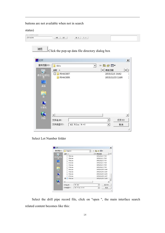buttons are not available when not in search

status)

| Click the pop-up data file directory dialog box |
|-------------------------------------------------|
|                                                 |
| $\times$                                        |
| 白的图<br>$\overline{\phantom{a}}$                 |
| 修改日期<br>∸<br>▼                                  |
| t<br>2015/12/1 14:42                            |
| 2015/12/15 12:08                                |
|                                                 |
|                                                 |
|                                                 |
|                                                 |
|                                                 |
|                                                 |
|                                                 |
| $\blacktriangleright$                           |
| 打开(0)<br>$\overline{ }$                         |
|                                                 |

Select Lot Number folder

| 查找范围 (I):<br>PIHA0008       | 白谷园                  |                       |
|-----------------------------|----------------------|-----------------------|
| 名称 ▲                        | 修改日期                 | $\blacksquare$        |
| 38.tube                     | 2015/12/2 17:00      |                       |
| 39.tube                     | 2015/12/2 17:01      |                       |
| 40 tube                     | 2015/12/2 17:03      |                       |
| 41.tube                     | 2015/12/2 17:04      |                       |
| 42.tube                     | 2015/12/2 17:05      |                       |
| 43.tube                     | 2015/12/2 17:08      |                       |
| 44.tube                     | 2015/12/15 11:44     |                       |
| 45 tube                     | 2015/12/15 12:04     |                       |
| 46.tube                     | 2015/12/15 12:05     |                       |
| 47.tube                     | 2015/12/15 12:07     |                       |
| 48.tube<br>罓                | 2015/12/15 12:08     |                       |
|                             |                      | $\blacktriangleright$ |
| 48. tube<br>文件名(N):         | $\blacktriangledown$ | 打开(0)                 |
| 文件类型(T):<br>All Files (*.*) | $\blacktriangledown$ | 取消                    |

Select the drill pipe record file, click on "open ", the main interface search related content becomes like this: